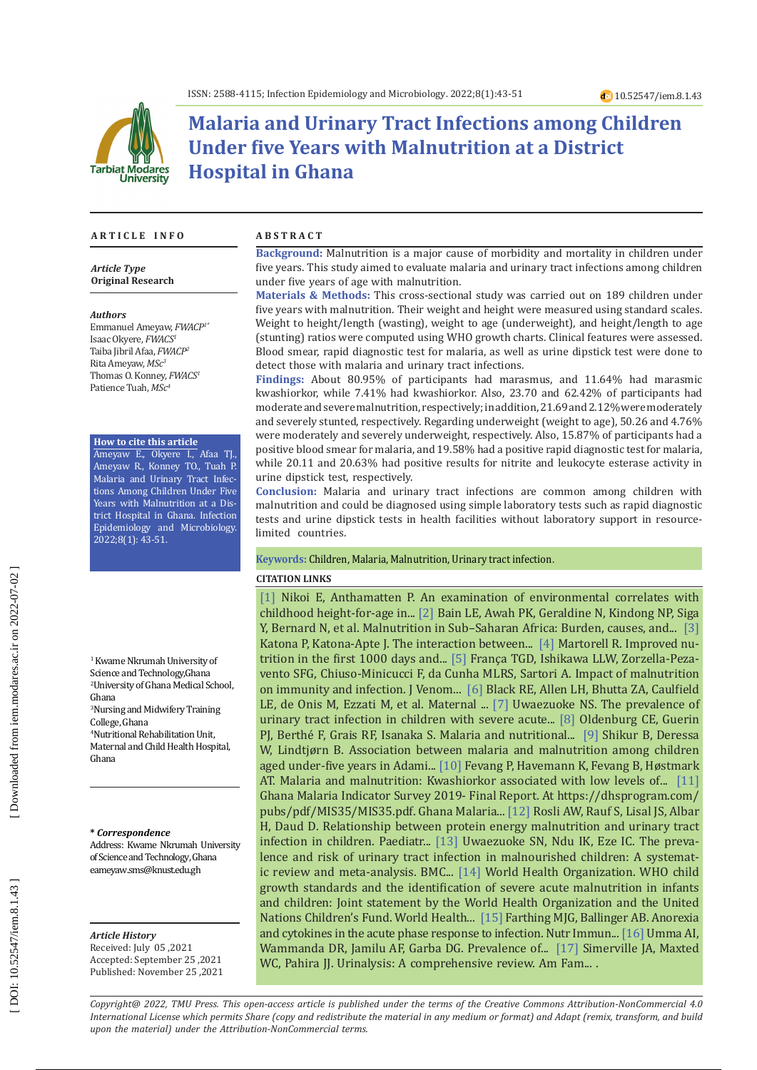

# **Malaria and Urinary Tract Infections among Children Under five Years with Malnutrition at a District Hospital in Ghana**

#### **A R T I C L E I N F O A B S T R A C T**

*Article Type* **Original Research**

#### *Authors*

Emmanuel Ameyaw, *FWACP1 \** Isaac Okyere, *FWACS1* Taiba Jibril Afaa, *FWACP2* Rita Ameyaw, *MSc3* Thomas O. Konney, *FWACS1* Patience Tuah, *MSc4*

#### **How to cite this article**

Ameyaw E., Okyere I., Afaa TJ., Ameyaw R., Konney TO., Tuah P. Malaria and Urinary Tract Infec tions Among Children Under Five Years with Malnutrition at a Dis trict Hospital in Ghana. Infection Epidemiology and Microbiology. 2022;8(1): 43-51.

1 Kwame Nkrumah University of Science and Technology,Ghana 2 University of Ghana Medical School, Ghana 3 Nursing and Midwifery Training

College, Ghana 4 Nutritional Rehabilitation Unit, Maternal and Child Health Hospital, Ghana

#### **\*** *Correspondence*

Address: Kwame Nkrumah University of Science and Technology, Ghana eameyaw.sms@knust.edu.gh

#### *Article History*

Received: July 05 ,2021 Accepted: September 25 ,2021 Published: November 25 ,2021

**Background:** Malnutrition is a major cause of morbidity and mortality in children under five years. This study aimed to evaluate malaria and urinary tract infections among children under five years of age with malnutrition.

**Materials & Methods:** This cross-sectional study was carried out on 189 children under five years with malnutrition. Their weight and height were measured using standard scales. Weight to height/length (wasting), weight to age (underweight), and height/length to age (stunting) ratios were computed using WHO growth charts. Clinical features were assessed. Blood smear, rapid diagnostic test for malaria, as well as urine dipstick test were done to detect those with malaria and urinary tract infections.

**Findings:** About 80.95% of participants had marasmus, and 11.64% had marasmic kwashiorkor, while 7.41% had kwashiorkor. Also, 23.70 and 62.42% of participants had moderate and severe malnutrition, respectively; in addition, 21.69 and 2.12% were moderately and severely stunted, respectively. Regarding underweight (weight to age), 50.26 and 4.76% were moderately and severely underweight, respectively. Also, 15.87% of participants had a positive blood smear for malaria, and 19.58% had a positive rapid diagnostic test for malaria, while 20.11 and 20.63% had positive results for nitrite and leukocyte esterase activity in urine dipstick test, respectively.

**Conclusion:** Malaria and urinary tract infections are common among children with malnutrition and could be diagnosed using simple laboratory tests such as rapid diagnostic tests and urine dipstick tests in health facilities without laboratory support in resourcelimited countries.

#### **Keywords:** Children, Malaria, Malnutrition, Urinary tract infection .

#### **CITATION LINKS**

[\[1\]](https://www.cambridge.org/core/journals/public-health-nutrition/article/an-examination-of-environmental-correlates-with-childhood-heightforage-in-ghana/F9B6AC84EDE2AD1A69F189FB6AC2C61B) Nikoi E, Anthamatten P. An examination of environmental correlates with childhood height-for-age in... [\[2\]](https://www.ajol.info/index.php/pamj/article/view/100127) Bain LE, Awah PK, Geraldine N, Kindong NP, Siga Y, Bernard N, et al. Malnutrition in Sub–Saharan Africa: Burden, causes, and... [\[3\]](https://pubmed.ncbi.nlm.nih.gov/18419494/) Katona P, Katona-Apte J. The interaction between... [\[4\]](https://onlinelibrary.wiley.com/doi/abs/10.1002/ajhb.22952?casa_token=2dssrE0RM_IAAAAA:WZsATIyQyiOexcsBjrl32lOxMUD4g8FoH2iOUr2dieKYeo2V9NQqdwXYCg2kBM2FyOT9eE04l4CRqUk) Martorell R. Improved nu trition in the first 1000 days and... [\[5\]](https://www.scielo.br/pdf/jvatitd/v15n3/a03v15n3.pdf) França TGD, Ishikawa LLW, Zorzella-Peza vento SFG, Chiuso-Minicucci F, da Cunha MLRS, Sartori A. Impact of malnutrition on immunity and infection. J Venom... [\[6\]](https://www.sciencedirect.com/science/article/pii/S0140673607616900) Black RE, Allen LH, Bhutta ZA, Caulfield LE, de Onis M, Ezzati M, et al. Maternal ... [\[7\]](https://pubmed.ncbi.nlm.nih.gov/29388594/) Uwaezuoke NS. The prevalence of urinary tract infection in children with severe acute... [\[8\]](https://academic.oup.com/cid/article-abstract/67/7/1027/4924398) Oldenburg CE, Guerin PJ, Berthé F, Grais RF, Isanaka S. Malaria and nutritional... [\[9\]](https://bmcpublichealth.biomedcentral.com/articles/10.1186/s12889-016-2838-y) Shikur B, Deressa W, Lindtjørn B. Association between malaria and malnutrition among children aged under-five years in Adami... [\[10\]](https://downloads.hindawi.com/archive/2018/7153173.pdf) Fevang P, Havemann K, Fevang B, Høstmark AT. Malaria and malnutrition: Kwashiorkor associated with low levels of... [\[11\]](https://dhsprogram.com/pubs/pdf/MIS35/MIS35.pdf) Ghana Malaria Indicator Survey 2019- Final Report. At [https://dhsprogram.com/](https://dhsprogram.com/pubs/pdf/MIS35/MIS35.pdf) [pubs/pdf/MIS35/MIS35.pdf](https://dhsprogram.com/pubs/pdf/MIS35/MIS35.pdf). Ghana Malaria... [\[12\]](https://mail.paediatricaindonesiana.org/index.php/paediatrica-indonesiana/article/download/526/399) Rosli AW, Rauf S, Lisal JS, Albar H, Daud D. Relationship between protein energy malnutrition and urinary tract infection in children. Paediatr... [\[13\]](https://bmcpediatr.biomedcentral.com/articles/10.1186/s12887-019-1628-y) Uwaezuoke SN, Ndu IK, Eze IC. The preva lence and risk of urinary tract infection in malnourished children: A systemat ic review and meta-analysis. BMC... [\[14\]](https://www.who.int/publications-detail-redirect/9789241598163) World Health Organization. WHO child growth standards and the identification of severe acute malnutrition in infants and children: Joint statement by the World Health Organization and the United Nations Children's Fund. World Health... [\[15\]](https://www.nestlenutrition-institute.org/sites/default/files/documents-library/publications/secured/61268ea15b897fb55cdc57b497dfb27e.pdf) Farthing MJG, Ballinger AB. Anorexia and cytokines in the acute phase response to infection. Nutr Immun... [\[16\]](https://www.njgp.org/article.asp?issn=1118-4647;year=2018;volume=16;issue=1;spage=25;epage=29;aulast=Idris) Umma AI, Wammanda DR, Jamilu AF, Garba DG. Prevalence of... [\[17\]](https://www.aafp.org/afp/2005/0315/p1153.html?utm_medium=email&utm_source=transaction) Simerville JA, Maxted WC, Pahira JJ. Urinalysis: A comprehensive review. Am Fam....

*Copyright@ 2022, TMU Press. This open-access article is published under the terms of the Creative Commons Attribution-NonCommercial 4.0 International License which permits Share (copy and redistribute the material in any medium or format) and Adapt (remix, transform, and build upon the material) under the Attribution-NonCommercial terms.*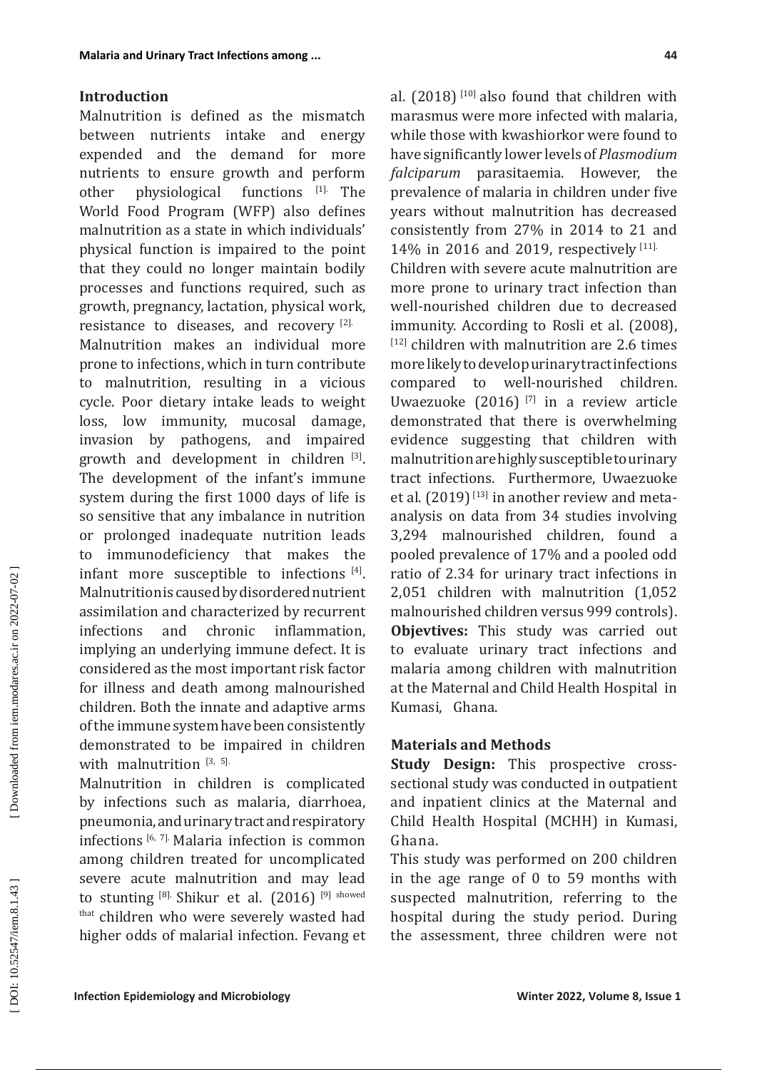### **Introduction**

Malnutrition is defined as the mismatch between nutrients intake and energy expended and the demand for more nutrients to ensure growth and perform<br>other physiological functions [1]. The other physiological functions  $[1]$ . The World Food Program (WFP) also defines malnutrition as a state in which individuals' physical function is impaired to the point that they could no longer maintain bodily processes and functions required, such as growth, pregnancy, lactation, physical work, resistance to diseases, and recovery [2].

Malnutrition makes an individual more prone to infections, which in turn contribute to malnutrition, resulting in a vicious cycle. Poor dietary intake leads to weight loss, low immunity, mucosal damage, invasion by pathogens, and impaired growth and development in children [3]. The development of the infant's immune system during the first 1000 days of life is so sensitive that any imbalance in nutrition or prolonged inadequate nutrition leads to immunodeficiency that makes the infant more susceptible to infections [4]. Malnutrition is caused by disordered nutrient assimilation and characterized by recurrent infections and chronic inflammation, implying an underlying immune defect. It is considered as the most important risk factor for illness and death among malnourished children. Both the innate and adaptive arms of the immune system have been consistently demonstrated to be impaired in children with malnutrition  $[3, 5]$ .

Malnutrition in children is complicated by infections such as malaria, diarrhoea, pneumonia, and urinary tract and respiratory infections [6, 7]. Malaria infection is common among children treated for uncomplicated severe acute malnutrition and may lead to stunting  $^{[8]}$ . Shikur et al. (2016)  $^{[9]}$  showed that children who were severely wasted had higher odds of malarial infection. Fevang et

al.  $(2018)$ <sup>[10]</sup> also found that children with marasmus were more infected with malaria, while those with kwashiorkor were found to have significantly lower levels of *Plasmodium falciparum* parasitaemia. However, the prevalence of malaria in children under five years without malnutrition has decreased consistently from 27% in 2014 to 21 and 14% in 2016 and 2019, respectively [11]. Children with severe acute malnutrition are more prone to urinary tract infection than well-nourished children due to decreased immunity. According to Rosli et al. (2008), [12] children with malnutrition are 2.6 times more likely to develop urinary tract infections compared to well-nourished children. Uwaezuoke (2016) [7] in a review article demonstrated that there is overwhelming evidence suggesting that children with malnutrition are highly susceptible to urinary tract infections. Furthermore, Uwaezuoke et al.  $(2019)^{[13]}$  in another review and metaanalysis on data from 34 studies involving 3,294 malnourished children, found a pooled prevalence of 17% and a pooled odd ratio of 2.34 for urinary tract infections in 2,051 children with malnutrition (1,052 malnourished children versus 999 controls). **Objevtives:** This study was carried out to evaluate urinary tract infections and malaria among children with malnutrition at the Maternal and Child Health Hospital in Kumasi, Ghana.

## **Materials and Methods**

**Study Design:** This prospective crosssectional study was conducted in outpatient and inpatient clinics at the Maternal and Child Health Hospital (MCHH) in Kumasi, Ghana.

This study was performed on 200 children in the age range of 0 to 59 months with suspected malnutrition, referring to the hospital during the study period. During the assessment, three children were not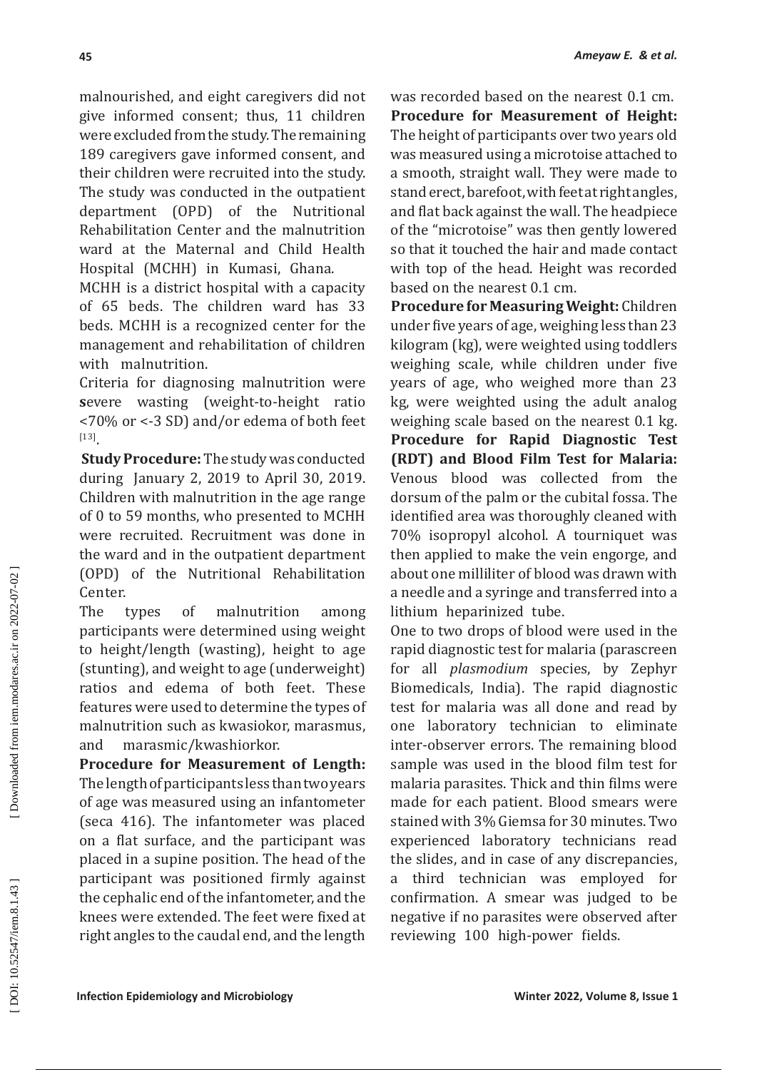malnourished, and eight caregivers did not give informed consent; thus, 11 children were excluded from the study. The remaining 189 caregivers gave informed consent, and their children were recruited into the study. The study was conducted in the outpatient department (OPD) of the Nutritional Rehabilitation Center and the malnutrition ward at the Maternal and Child Health Hospital (MCHH) in Kumasi, Ghana.

MCHH is a district hospital with a capacity of 65 beds. The children ward has 33 beds. MCHH is a recognized center for the management and rehabilitation of children with malnutrition.

Criteria for diagnosing malnutrition were **s**evere wasting (weight-to-height ratio <70% or <-3 SD) and/or edema of both feet [13].

 **Study Procedure:** The study was conducted during January 2, 2019 to April 30, 2019. Children with malnutrition in the age range of 0 to 59 months, who presented to MCHH were recruited. Recruitment was done in the ward and in the outpatient department (OPD) of the Nutritional Rehabilitation Center.

The types of malnutrition among participants were determined using weight to height/length (wasting), height to age (stunting), and weight to age (underweight) ratios and edema of both feet. These features were used to determine the types of malnutrition such as kwasiokor, marasmus, and marasmic/kwashiorkor.

**Procedure for Measurement of Length:**  The length of participants less than two years of age was measured using an infantometer (seca 416). The infantometer was placed on a flat surface, and the participant was placed in a supine position. The head of the participant was positioned firmly against the cephalic end of the infantometer, and the knees were extended. The feet were fixed at right angles to the caudal end, and the length

was recorded based on the nearest 0.1 cm. **Procedure for Measurement of Height:**  The height of participants over two years old was measured using a microtoise attached to a smooth, straight wall. They were made to stand erect, barefoot, with feet at right angles, and flat back against the wall. The headpiece of the "microtoise" was then gently lowered so that it touched the hair and made contact with top of the head. Height was recorded based on the nearest 0.1 cm.

**Procedure for Measuring Weight:** Children under five years of age, weighing less than 23 kilogram (kg), were weighted using toddlers weighing scale, while children under five years of age, who weighed more than 23 kg, were weighted using the adult analog weighing scale based on the nearest 0.1 kg. **Procedure for Rapid Diagnostic Test (RDT) and Blood Film Test for Malaria:**  Venous blood was collected from the dorsum of the palm or the cubital fossa. The identified area was thoroughly cleaned with 70% isopropyl alcohol. A tourniquet was then applied to make the vein engorge, and about one milliliter of blood was drawn with a needle and a syringe and transferred into a lithium heparinized tube.

One to two drops of blood were used in the rapid diagnostic test for malaria (parascreen for all *plasmodium* species, by Zephyr Biomedicals, India). The rapid diagnostic test for malaria was all done and read by one laboratory technician to eliminate inter-observer errors. The remaining blood sample was used in the blood film test for malaria parasites. Thick and thin films were made for each patient. Blood smears were stained with 3% Giemsa for 30 minutes. Two experienced laboratory technicians read the slides, and in case of any discrepancies, a third technician was employed for confirmation. A smear was judged to be negative if no parasites were observed after reviewing 100 high-power fields.

DOI: 10.52547/iem.8.1.43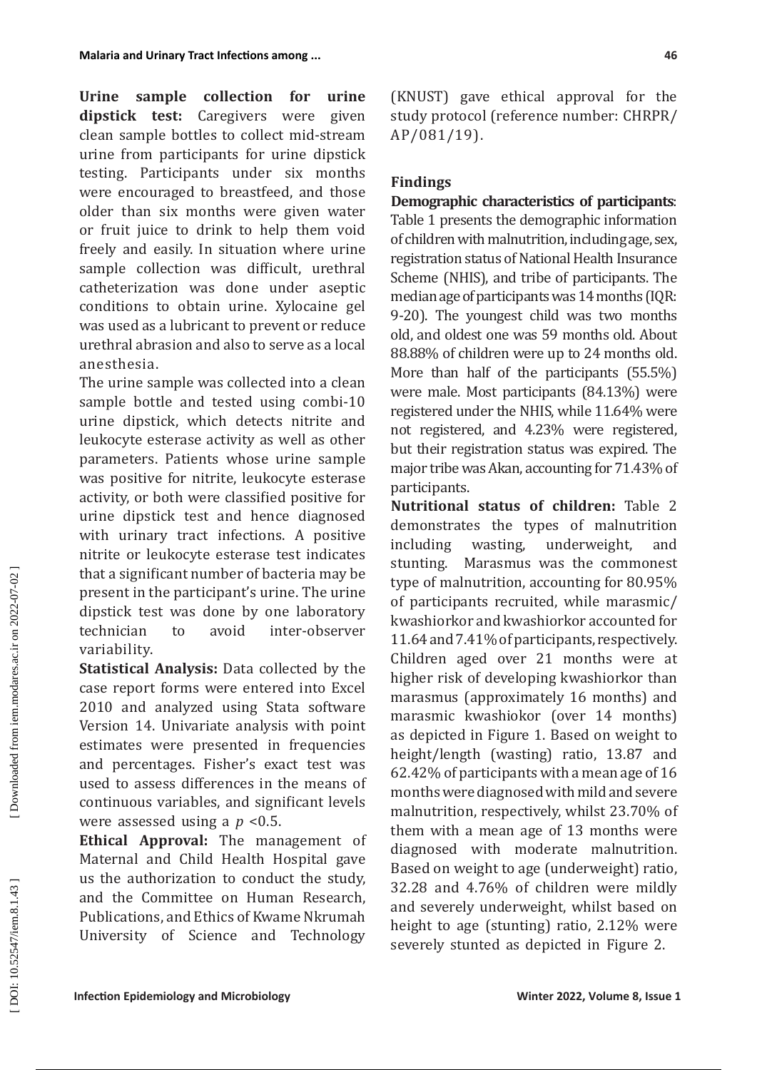**Urine sample collection for urine dipstick test:** Caregivers were given clean sample bottles to collect mid-stream urine from participants for urine dipstick testing. Participants under six months were encouraged to breastfeed, and those older than six months were given water or fruit juice to drink to help them void freely and easily. In situation where urine sample collection was difficult, urethral catheterization was done under aseptic conditions to obtain urine. Xylocaine gel was used as a lubricant to prevent or reduce urethral abrasion and also to serve as a local anesthesia.

The urine sample was collected into a clean sample bottle and tested using combi-10 urine dipstick, which detects nitrite and leukocyte esterase activity as well as other parameters. Patients whose urine sample was positive for nitrite, leukocyte esterase activity, or both were classified positive for urine dipstick test and hence diagnosed with urinary tract infections. A positive nitrite or leukocyte esterase test indicates that a significant number of bacteria may be present in the participant's urine. The urine dipstick test was done by one laboratory technician to avoid inter-observer variability.

**Statistical Analysis:** Data collected by the case report forms were entered into Excel 2010 and analyzed using Stata software Version 14. Univariate analysis with point estimates were presented in frequencies and percentages. Fisher's exact test was used to assess differences in the means of continuous variables, and significant levels were assessed using a *p* <0.5.

**Ethical Approval:** The management of Maternal and Child Health Hospital gave us the authorization to conduct the study, and the Committee on Human Research, Publications, and Ethics of Kwame Nkrumah University of Science and Technology

(KNUST) gave ethical approval for the study protocol (reference number: CHRPR/ AP/081/19).

# **Findings**

**Demographic characteristics of participants**: Table 1 presents the demographic information of children with malnutrition, including age, sex, registration status of National Health Insurance Scheme (NHIS), and tribe of participants. The median age of participants was 14 months (IQR: 9-20). The youngest child was two months old, and oldest one was 59 months old. About 88.88% of children were up to 24 months old. More than half of the participants (55.5%) were male. Most participants (84.13%) were registered under the NHIS, while 11.64% were not registered, and 4.23% were registered, but their registration status was expired. The major tribe was Akan, accounting for 71.43% of participants.

**Nutritional status of children:** Table 2 demonstrates the types of malnutrition including wasting, underweight, and stunting. Marasmus was the commonest type of malnutrition, accounting for 80.95% of participants recruited, while marasmic/ kwashiorkor and kwashiorkor accounted for 11.64 and 7.41% of participants, respectively. Children aged over 21 months were at higher risk of developing kwashiorkor than marasmus (approximately 16 months) and marasmic kwashiokor (over 14 months) as depicted in Figure 1. Based on weight to height/length (wasting) ratio, 13.87 and 62.42% of participants with a mean age of 16 months were diagnosed with mild and severe malnutrition, respectively, whilst 23.70% of them with a mean age of 13 months were diagnosed with moderate malnutrition. Based on weight to age (underweight) ratio, 32.28 and 4.76% of children were mildly and severely underweight, whilst based on height to age (stunting) ratio, 2.12% were severely stunted as depicted in Figure 2.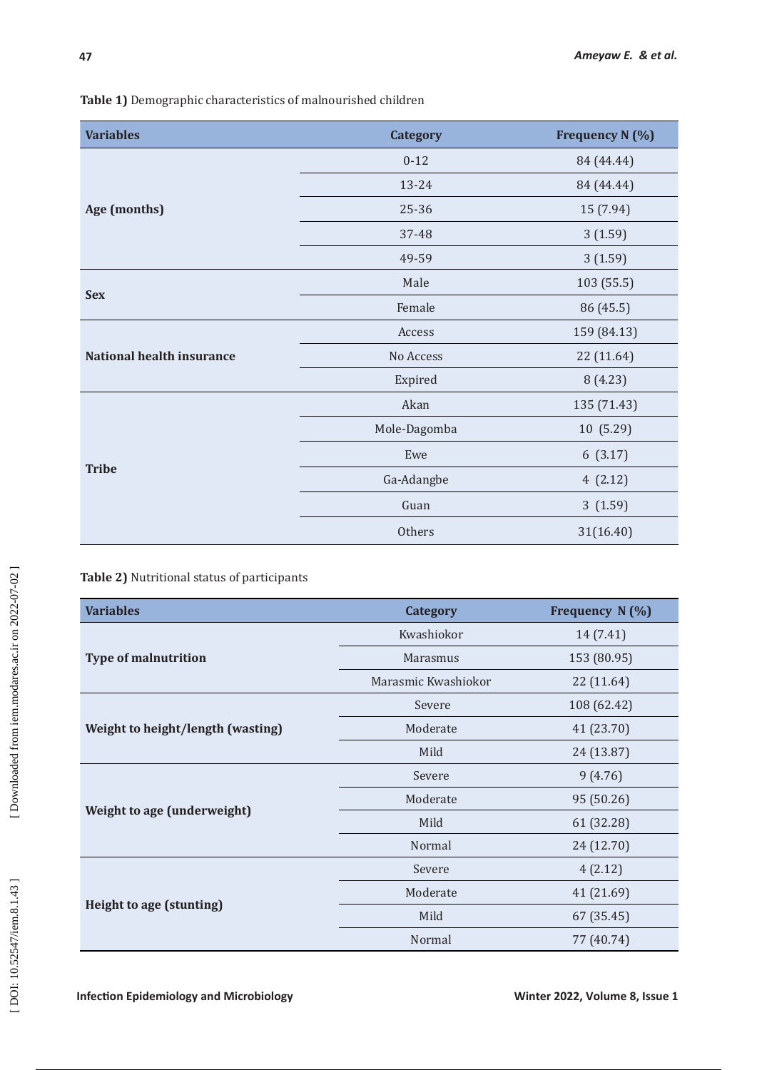| <b>Variables</b>                 | <b>Category</b> | <b>Frequency N (%)</b> |  |
|----------------------------------|-----------------|------------------------|--|
|                                  | $0 - 12$        | 84 (44.44)             |  |
|                                  | 13-24           | 84 (44.44)             |  |
| Age (months)                     | 25-36           | 15 (7.94)              |  |
|                                  | 37-48           | 3(1.59)                |  |
|                                  | 49-59           | 3(1.59)                |  |
| <b>Sex</b>                       | Male            | 103 (55.5)             |  |
|                                  | Female          | 86 (45.5)              |  |
|                                  | Access          | 159 (84.13)            |  |
| <b>National health insurance</b> | No Access       | 22 (11.64)             |  |
|                                  | Expired         | 8(4.23)                |  |
| <b>Tribe</b>                     | Akan            | 135 (71.43)            |  |
|                                  | Mole-Dagomba    | 10 (5.29)              |  |
|                                  | Ewe             | 6(3.17)                |  |
|                                  | Ga-Adangbe      | 4(2.12)                |  |
|                                  | Guan            | 3(1.59)                |  |
|                                  | Others          | 31(16.40)              |  |

## **Table 2)** Nutritional status of participants

| <b>Variables</b>                  | <b>Category</b>     | Frequency N (%) |  |
|-----------------------------------|---------------------|-----------------|--|
|                                   | Kwashiokor          | 14 (7.41)       |  |
| <b>Type of malnutrition</b>       | Marasmus            | 153 (80.95)     |  |
|                                   | Marasmic Kwashiokor | 22 (11.64)      |  |
|                                   | Severe              | 108 (62.42)     |  |
| Weight to height/length (wasting) | Moderate            | 41 (23.70)      |  |
|                                   | Mild                | 24 (13.87)      |  |
|                                   | Severe              | 9(4.76)         |  |
|                                   | Moderate            | 95 (50.26)      |  |
| Weight to age (underweight)       | Mild                | 61 (32.28)      |  |
|                                   | Normal              | 24 (12.70)      |  |
|                                   | Severe              | 4(2.12)         |  |
|                                   | Moderate            | 41 (21.69)      |  |
| Height to age (stunting)          | Mild                | 67 (35.45)      |  |
|                                   | Normal              | 77 (40.74)      |  |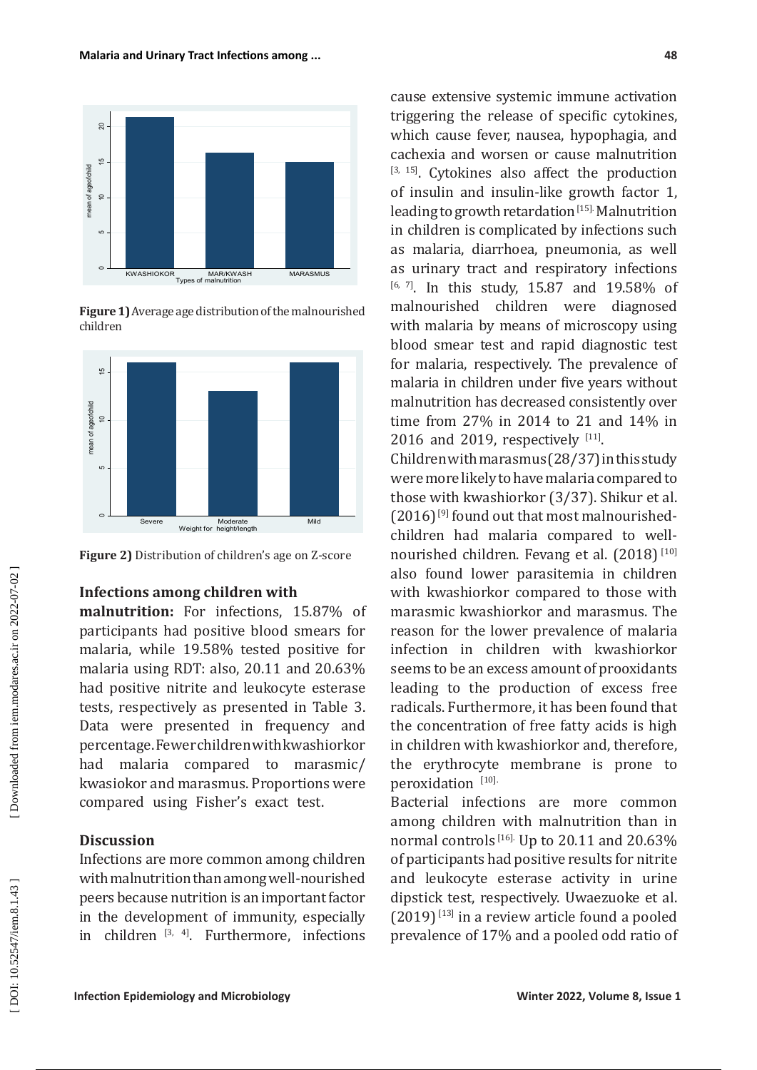

**Figure 1)** Average age distribution of the malnourished children





# **Infections among children with**

**malnutrition:** For infections, 15.87% of participants had positive blood smears for malaria, while 19.58% tested positive for malaria using RDT: also, 20.11 and 20.63% had positive nitrite and leukocyte esterase tests, respectively as presented in Table 3. Data were presented in frequency and percentage. Fewer children with kwashiorkor had malaria compared to marasmic/ kwasiokor and marasmus. Proportions were compared using Fisher's exact test.

# **Discussion**

Infections are more common among children with malnutrition than among well-nourished peers because nutrition is an important factor in the development of immunity, especially in children  $[3, 4]$ . Furthermore, infections

cause extensive systemic immune activation triggering the release of specific cytokines, which cause fever, nausea, hypophagia, and cachexia and worsen or cause malnutrition  $[3, 15]$ . Cytokines also affect the production of insulin and insulin-like growth factor 1, leading to growth retardation [15]. Malnutrition in children is complicated by infections such as malaria, diarrhoea, pneumonia, as well as urinary tract and respiratory infections  $[6, 7]$ . In this study, 15.87 and 19.58% of malnourished children were diagnosed with malaria by means of microscopy using blood smear test and rapid diagnostic test for malaria, respectively. The prevalence of malaria in children under five years without malnutrition has decreased consistently over time from 27% in 2014 to 21 and 14% in 2016 and 2019, respectively  $[11]$ .

Children with marasmus (28/37) in this study were more likely to have malaria compared to those with kwashiorkor (3/37). Shikur et al.  $(2016)$  [9] found out that most malnourishedchildren had malaria compared to wellnourished children. Fevang et al. (2018) [10] also found lower parasitemia in children with kwashiorkor compared to those with marasmic kwashiorkor and marasmus. The reason for the lower prevalence of malaria infection in children with kwashiorkor seems to be an excess amount of prooxidants leading to the production of excess free radicals. Furthermore, it has been found that the concentration of free fatty acids is high in children with kwashiorkor and, therefore, the erythrocyte membrane is prone to peroxidation [10].

Bacterial infections are more common among children with malnutrition than in normal controls  $^{[16]}$ . Up to 20.11 and 20.63% of participants had positive results for nitrite and leukocyte esterase activity in urine dipstick test, respectively. Uwaezuoke et al.  $(2019)$ <sup>[13]</sup> in a review article found a pooled prevalence of 17% and a pooled odd ratio of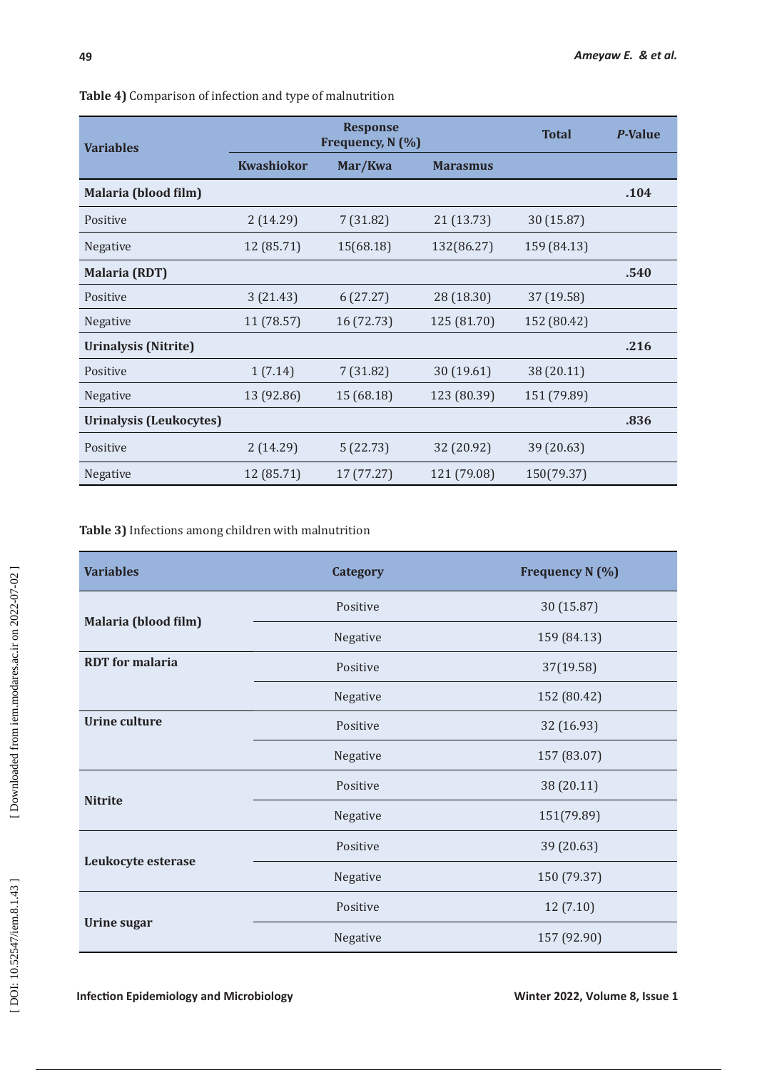| <b>Variables</b>               | <b>Response</b><br>Frequency, N (%) |            |                 | <b>Total</b> | <b>P-Value</b> |
|--------------------------------|-------------------------------------|------------|-----------------|--------------|----------------|
|                                | <b>Kwashiokor</b>                   | Mar/Kwa    | <b>Marasmus</b> |              |                |
| Malaria (blood film)           |                                     |            |                 |              | .104           |
| Positive                       | 2(14.29)                            | 7(31.82)   | 21 (13.73)      | 30 (15.87)   |                |
| <b>Negative</b>                | 12 (85.71)                          | 15(68.18)  | 132(86.27)      | 159 (84.13)  |                |
| <b>Malaria (RDT)</b>           |                                     |            |                 |              | .540           |
| Positive                       | 3(21.43)                            | 6(27.27)   | 28 (18.30)      | 37 (19.58)   |                |
| <b>Negative</b>                | 11 (78.57)                          | 16 (72.73) | 125 (81.70)     | 152 (80.42)  |                |
| <b>Urinalysis (Nitrite)</b>    |                                     |            |                 |              | .216           |
| Positive                       | 1(7.14)                             | 7(31.82)   | 30(19.61)       | 38 (20.11)   |                |
| <b>Negative</b>                | 13 (92.86)                          | 15 (68.18) | 123 (80.39)     | 151 (79.89)  |                |
| <b>Urinalysis (Leukocytes)</b> |                                     |            |                 |              | .836           |
| Positive                       | 2(14.29)                            | 5(22.73)   | 32 (20.92)      | 39 (20.63)   |                |
| Negative                       | 12 (85.71)                          | 17 (77.27) | 121 (79.08)     | 150(79.37)   |                |

**Table 4)** Comparison of infection and type of malnutrition

## **Table 3)** Infections among children with malnutrition

| <b>Variables</b>       | <b>Category</b> | <b>Frequency N (%)</b> |
|------------------------|-----------------|------------------------|
| Malaria (blood film)   | Positive        | 30 (15.87)             |
|                        | Negative        | 159 (84.13)            |
| <b>RDT</b> for malaria | Positive        | 37(19.58)              |
|                        | Negative        | 152 (80.42)            |
| <b>Urine culture</b>   | Positive        | 32 (16.93)             |
|                        | Negative        | 157 (83.07)            |
| <b>Nitrite</b>         | Positive        | 38 (20.11)             |
|                        | Negative        | 151(79.89)             |
| Leukocyte esterase     | Positive        | 39 (20.63)             |
|                        | Negative        | 150 (79.37)            |
| <b>Urine sugar</b>     | Positive        | 12(7.10)               |
|                        | Negative        | 157 (92.90)            |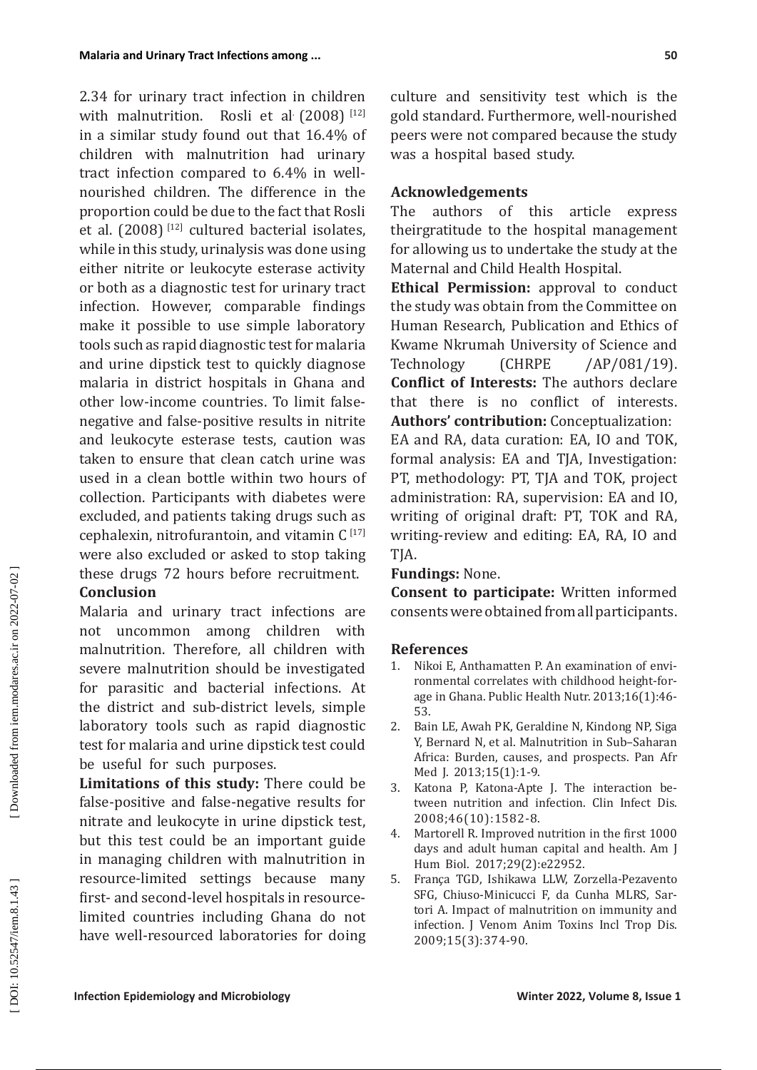2.34 for urinary tract infection in children with malnutrition. Rosli et al (2008) [12] in a similar study found out that 16.4% of children with malnutrition had urinary tract infection compared to 6.4% in wellnourished children. The difference in the proportion could be due to the fact that Rosli et al.  $(2008)$ <sup>[12]</sup> cultured bacterial isolates, while in this study, urinalysis was done using either nitrite or leukocyte esterase activity or both as a diagnostic test for urinary tract infection. However, comparable findings make it possible to use simple laboratory tools such as rapid diagnostic test for malaria and urine dipstick test to quickly diagnose malaria in district hospitals in Ghana and other low-income countries. To limit falsenegative and false-positive results in nitrite and leukocyte esterase tests, caution was taken to ensure that clean catch urine was used in a clean bottle within two hours of collection. Participants with diabetes were excluded, and patients taking drugs such as cephalexin, nitrofurantoin, and vitamin  $C^{[17]}$ were also excluded or asked to stop taking these drugs 72 hours before recruitment.

## **Conclusion**

Malaria and urinary tract infections are not uncommon among children with malnutrition. Therefore, all children with severe malnutrition should be investigated for parasitic and bacterial infections. At the district and sub-district levels, simple laboratory tools such as rapid diagnostic test for malaria and urine dipstick test could be useful for such purposes.

**Limitations of this study:** There could be false-positive and false-negative results for nitrate and leukocyte in urine dipstick test, but this test could be an important guide in managing children with malnutrition in resource-limited settings because many first- and second-level hospitals in resourcelimited countries including Ghana do not have well-resourced laboratories for doing

culture and sensitivity test which is the gold standard. Furthermore, well-nourished peers were not compared because the study was a hospital based study.

## **Acknowledgements**

The authors of this article express theirgratitude to the hospital management for allowing us to undertake the study at the Maternal and Child Health Hospital.

**Ethical Permission:** approval to conduct the study was obtain from the Committee on Human Research, Publication and Ethics of Kwame Nkrumah University of Science and Technology (CHRPE /AP/081/19). **Conflict of Interests:** The authors declare that there is no conflict of interests. **Authors' contribution:** Conceptualization: EA and RA, data curation: EA, IO and TOK, formal analysis: EA and TJA, Investigation: PT, methodology: PT, TJA and TOK, project administration: RA, supervision: EA and IO, writing of original draft: PT, TOK and RA, writing-review and editing: EA, RA, IO and TJA.

## **Fundings:** None.

**Consent to participate:** Written informed consents were obtained from all participants.

## **References**

- 1. Nikoi E, Anthamatten P. An examination of envi ronmental correlates with childhood height-forage in Ghana. Public Health Nutr. 2013;16(1):46- 53.
- 2. Bain LE, Awah PK, Geraldine N, Kindong NP, Siga Y, Bernard N, et al. Malnutrition in Sub–Saharan Africa: Burden, causes, and prospects. Pan Afr Med I. 2013:15(1):1-9.
- 3. Katona P, Katona-Apte J. The interaction be tween nutrition and infection. Clin Infect Dis. 2008;46(10):1582-8.
- 4. Martorell R. Improved nutrition in the first 1000 days and adult human capital and health. Am J Hum Biol. 2017;29(2):e22952.
- 5. França TGD, Ishikawa LLW, Zorzella-Pezavento SFG, Chiuso-Minicucci F, da Cunha MLRS, Sar tori A. Impact of malnutrition on immunity and infection. J Venom Anim Toxins Incl Trop Dis. 2009;15(3):374-90.

DOI: 10.52547/iem.8.1.43